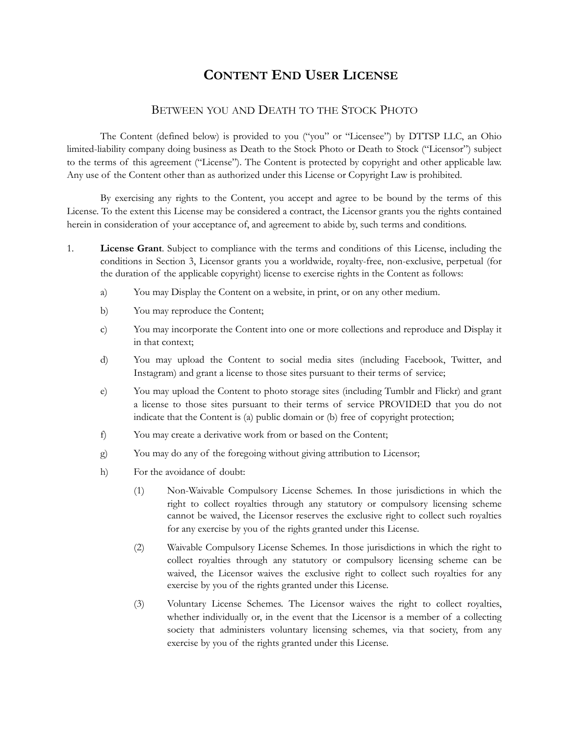## **CONTENT END USER LICENSE**

## BETWEEN YOU AND DEATH TO THE STOCK PHOTO

The Content (defined below) is provided to you ("you" or "Licensee") by DTTSP LLC, an Ohio limited-liability company doing business as Death to the Stock Photo or Death to Stock ("Licensor") subject to the terms of this agreement ("License"). The Content is protected by copyright and other applicable law. Any use of the Content other than as authorized under this License or Copyright Law is prohibited.

By exercising any rights to the Content, you accept and agree to be bound by the terms of this License. To the extent this License may be considered a contract, the Licensor grants you the rights contained herein in consideration of your acceptance of, and agreement to abide by, such terms and conditions.

- <span id="page-0-0"></span>1. **License Grant**. Subject to compliance with the terms and conditions of this License, including the conditions in Section 3, Licensor grants you a worldwide, royalty-free, non-exclusive, perpetual (for the duration of the applicable copyright) license to exercise rights in the Content as follows:
	- a) You may Display the Content on a website, in print, or on any other medium.
	- b) You may reproduce the Content;
	- c) You may incorporate the Content into one or more collections and reproduce and Display it in that context;
	- d) You may upload the Content to social media sites (including Facebook, Twitter, and Instagram) and grant a license to those sites pursuant to their terms of service;
	- e) You may upload the Content to photo storage sites (including Tumblr and Flickr) and grant a license to those sites pursuant to their terms of service PROVIDED that you do not indicate that the Content is (a) public domain or (b) free of copyright protection;
	- f) You may create a derivative work from or based on the Content;
	- g) You may do any of the foregoing without giving attribution to Licensor;
	- h) For the avoidance of doubt:
		- (1) Non-Waivable Compulsory License Schemes. In those jurisdictions in which the right to collect royalties through any statutory or compulsory licensing scheme cannot be waived, the Licensor reserves the exclusive right to collect such royalties for any exercise by you of the rights granted under this License.
		- (2) Waivable Compulsory License Schemes. In those jurisdictions in which the right to collect royalties through any statutory or compulsory licensing scheme can be waived, the Licensor waives the exclusive right to collect such royalties for any exercise by you of the rights granted under this License.
		- (3) Voluntary License Schemes. The Licensor waives the right to collect royalties, whether individually or, in the event that the Licensor is a member of a collecting society that administers voluntary licensing schemes, via that society, from any exercise by you of the rights granted under this License.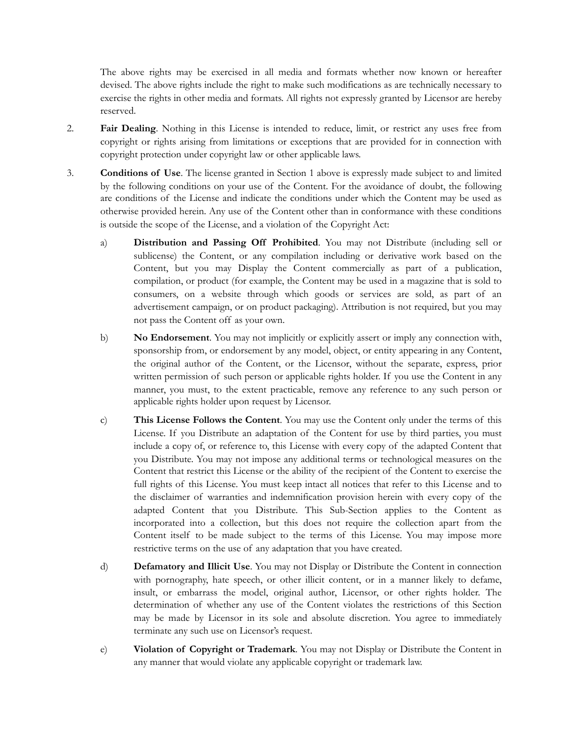The above rights may be exercised in all media and formats whether now known or hereafter devised. The above rights include the right to make such modifications as are technically necessary to exercise the rights in other media and formats. All rights not expressly granted by Licensor are hereby reserved.

- 2. **Fair Dealing**. Nothing in this License is intended to reduce, limit, or restrict any uses free from copyright or rights arising from limitations or exceptions that are provided for in connection with copyright protection under copyright law or other applicable laws.
- 3. **Conditions of Use**. The license granted in Section [1](#page-0-0) above is expressly made subject to and limited by the following conditions on your use of the Content. For the avoidance of doubt, the following are conditions of the License and indicate the conditions under which the Content may be used as otherwise provided herein. Any use of the Content other than in conformance with these conditions is outside the scope of the License, and a violation of the Copyright Act:
	- a) **Distribution and Passing Off Prohibited**. You may not Distribute (including sell or sublicense) the Content, or any compilation including or derivative work based on the Content, but you may Display the Content commercially as part of a publication, compilation, or product (for example, the Content may be used in a magazine that is sold to consumers, on a website through which goods or services are sold, as part of an advertisement campaign, or on product packaging). Attribution is not required, but you may not pass the Content off as your own.
	- b) **No Endorsement**. You may not implicitly or explicitly assert or imply any connection with, sponsorship from, or endorsement by any model, object, or entity appearing in any Content, the original author of the Content, or the Licensor, without the separate, express, prior written permission of such person or applicable rights holder. If you use the Content in any manner, you must, to the extent practicable, remove any reference to any such person or applicable rights holder upon request by Licensor.
	- c) **This License Follows the Content**. You may use the Content only under the terms of this License. If you Distribute an adaptation of the Content for use by third parties, you must include a copy of, or reference to, this License with every copy of the adapted Content that you Distribute. You may not impose any additional terms or technological measures on the Content that restrict this License or the ability of the recipient of the Content to exercise the full rights of this License. You must keep intact all notices that refer to this License and to the disclaimer of warranties and indemnification provision herein with every copy of the adapted Content that you Distribute. This Sub-Section applies to the Content as incorporated into a collection, but this does not require the collection apart from the Content itself to be made subject to the terms of this License. You may impose more restrictive terms on the use of any adaptation that you have created.
	- d) **Defamatory and Illicit Use**. You may not Display or Distribute the Content in connection with pornography, hate speech, or other illicit content, or in a manner likely to defame, insult, or embarrass the model, original author, Licensor, or other rights holder. The determination of whether any use of the Content violates the restrictions of this Section may be made by Licensor in its sole and absolute discretion. You agree to immediately terminate any such use on Licensor's request.
	- e) **Violation of Copyright or Trademark**. You may not Display or Distribute the Content in any manner that would violate any applicable copyright or trademark law.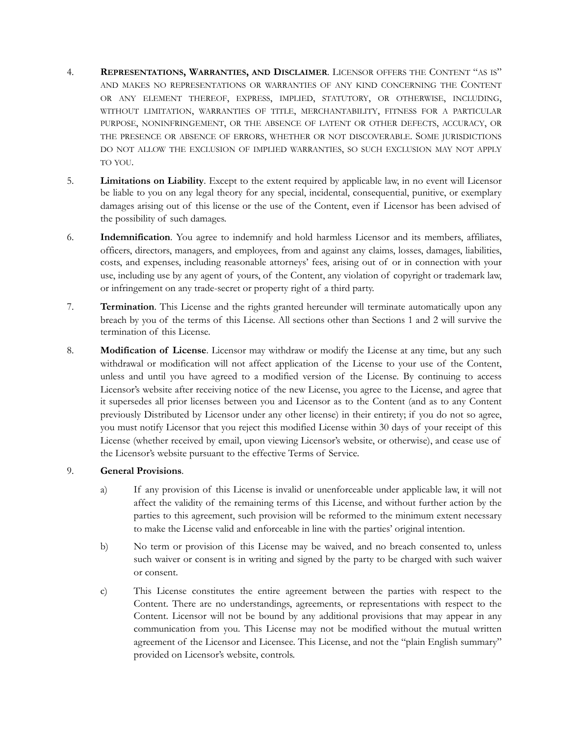- 4. **REPRESENTATIONS, WARRANTIES, AND DISCLAIMER**. LICENSOR OFFERS THE CONTENT "AS IS" AND MAKES NO REPRESENTATIONS OR WARRANTIES OF ANY KIND CONCERNING THE CONTENT OR ANY ELEMENT THEREOF, EXPRESS, IMPLIED, STATUTORY, OR OTHERWISE, INCLUDING, WITHOUT LIMITATION, WARRANTIES OF TITLE, MERCHANTABILITY, FITNESS FOR A PARTICULAR PURPOSE, NONINFRINGEMENT, OR THE ABSENCE OF LATENT OR OTHER DEFECTS, ACCURACY, OR THE PRESENCE OR ABSENCE OF ERRORS, WHETHER OR NOT DISCOVERABLE. SOME JURISDICTIONS DO NOT ALLOW THE EXCLUSION OF IMPLIED WARRANTIES, SO SUCH EXCLUSION MAY NOT APPLY TO YOU.
- 5. **Limitations on Liability**. Except to the extent required by applicable law, in no event will Licensor be liable to you on any legal theory for any special, incidental, consequential, punitive, or exemplary damages arising out of this license or the use of the Content, even if Licensor has been advised of the possibility of such damages.
- 6. **Indemnification**. You agree to indemnify and hold harmless Licensor and its members, affiliates, officers, directors, managers, and employees, from and against any claims, losses, damages, liabilities, costs, and expenses, including reasonable attorneys' fees, arising out of or in connection with your use, including use by any agent of yours, of the Content, any violation of copyright or trademark law, or infringement on any trade-secret or property right of a third party.
- 7. **Termination**. This License and the rights granted hereunder will terminate automatically upon any breach by you of the terms of this License. All sections other than Sections 1 and 2 will survive the termination of this License.
- 8. **Modification of License**. Licensor may withdraw or modify the License at any time, but any such withdrawal or modification will not affect application of the License to your use of the Content, unless and until you have agreed to a modified version of the License. By continuing to access Licensor's website after receiving notice of the new License, you agree to the License, and agree that it supersedes all prior licenses between you and Licensor as to the Content (and as to any Content previously Distributed by Licensor under any other license) in their entirety; if you do not so agree, you must notify Licensor that you reject this modified License within 30 days of your receipt of this License (whether received by email, upon viewing Licensor's website, or otherwise), and cease use of the Licensor's website pursuant to the effective Terms of Service.

## 9. **General Provisions**.

- a) If any provision of this License is invalid or unenforceable under applicable law, it will not affect the validity of the remaining terms of this License, and without further action by the parties to this agreement, such provision will be reformed to the minimum extent necessary to make the License valid and enforceable in line with the parties' original intention.
- b) No term or provision of this License may be waived, and no breach consented to, unless such waiver or consent is in writing and signed by the party to be charged with such waiver or consent.
- c) This License constitutes the entire agreement between the parties with respect to the Content. There are no understandings, agreements, or representations with respect to the Content. Licensor will not be bound by any additional provisions that may appear in any communication from you. This License may not be modified without the mutual written agreement of the Licensor and Licensee. This License, and not the "plain English summary" provided on Licensor's website, controls.